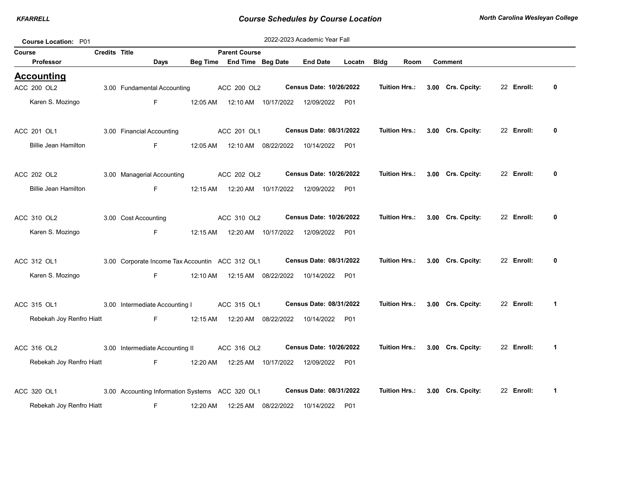| <b>Course Location: P01</b> |                      |                                                 |          |                            |                      | 2022-2023 Academic Year Fall          |        |                      |               |                   |            |              |
|-----------------------------|----------------------|-------------------------------------------------|----------|----------------------------|----------------------|---------------------------------------|--------|----------------------|---------------|-------------------|------------|--------------|
| Course                      | <b>Credits Title</b> |                                                 |          | <b>Parent Course</b>       |                      |                                       |        |                      |               |                   |            |              |
| Professor                   |                      | Days                                            |          | Beg Time End Time Beg Date |                      | <b>End Date</b>                       | Locatn | <b>Bldg</b>          | Room          | <b>Comment</b>    |            |              |
| <u>Accounting</u>           |                      |                                                 |          |                            |                      |                                       |        |                      |               |                   |            |              |
| ACC 200 OL2                 |                      | 3.00 Fundamental Accounting                     |          | ACC 200 OL2                |                      | Census Date: 10/26/2022               |        | <b>Tuition Hrs.:</b> |               | 3.00 Crs. Cpcity: | 22 Enroll: | 0            |
| Karen S. Mozingo            |                      | F.                                              | 12:05 AM |                            | 12:10 AM  10/17/2022 | 12/09/2022 P01                        |        |                      |               |                   |            |              |
| ACC 201 OL1                 |                      | 3.00 Financial Accounting                       |          | ACC 201 OL1                |                      | Census Date: 08/31/2022               |        | Tuition Hrs.:        |               | 3.00 Crs. Cpcity: | 22 Enroll: | 0            |
| <b>Billie Jean Hamilton</b> |                      | F.                                              | 12:05 AM |                            | 12:10 AM  08/22/2022 | 10/14/2022 P01                        |        |                      |               |                   |            |              |
| ACC 202 OL2                 |                      | 3.00 Managerial Accounting                      |          | ACC 202 OL2                |                      | <b>Census Date: 10/26/2022</b>        |        |                      | Tuition Hrs.: | 3.00 Crs. Cpcity: | 22 Enroll: | 0            |
| <b>Billie Jean Hamilton</b> |                      | F                                               | 12:15 AM |                            | 12:20 AM  10/17/2022 | 12/09/2022                            | P01    |                      |               |                   |            |              |
| ACC 310 OL2                 |                      | 3.00 Cost Accounting                            |          | ACC 310 OL2                |                      | Census Date: 10/26/2022               |        | <b>Tuition Hrs.:</b> |               | 3.00 Crs. Cpcity: | 22 Enroll: | 0            |
| Karen S. Mozingo            |                      | F.                                              | 12:15 AM |                            | 12:20 AM  10/17/2022 | 12/09/2022 P01                        |        |                      |               |                   |            |              |
| ACC 312 OL1                 |                      | 3.00 Corporate Income Tax Accountin ACC 312 OL1 |          |                            |                      | Census Date: 08/31/2022               |        | <b>Tuition Hrs.:</b> |               | 3.00 Crs. Cpcity: | 22 Enroll: | 0            |
| Karen S. Mozingo            |                      | F.                                              | 12:10 AM |                            |                      | 12:15 AM  08/22/2022  10/14/2022  P01 |        |                      |               |                   |            |              |
| ACC 315 OL1                 |                      | 3.00 Intermediate Accounting I                  |          | ACC 315 OL1                |                      | Census Date: 08/31/2022               |        |                      | Tuition Hrs.: | 3.00 Crs. Cpcity: | 22 Enroll: | $\mathbf{1}$ |
| Rebekah Joy Renfro Hiatt    |                      | F                                               | 12:15 AM |                            | 12:20 AM 08/22/2022  | 10/14/2022                            | P01    |                      |               |                   |            |              |
| ACC 316 OL2                 |                      | 3.00 Intermediate Accounting II                 |          | ACC 316 OL2                |                      | <b>Census Date: 10/26/2022</b>        |        | Tuition Hrs.:        |               | 3.00 Crs. Cpcity: | 22 Enroll: | $\mathbf{1}$ |
| Rebekah Joy Renfro Hiatt    |                      | F.                                              | 12:20 AM |                            | 12:25 AM  10/17/2022 | 12/09/2022 P01                        |        |                      |               |                   |            |              |
| ACC 320 OL1                 |                      | 3.00 Accounting Information Systems ACC 320 OL1 |          |                            |                      | Census Date: 08/31/2022               |        | <b>Tuition Hrs.:</b> |               | 3.00 Crs. Cpcity: | 22 Enroll: | $\mathbf{1}$ |
| Rebekah Joy Renfro Hiatt    |                      | F.                                              | 12:20 AM | 12:25 AM                   | 08/22/2022           | 10/14/2022                            | P01    |                      |               |                   |            |              |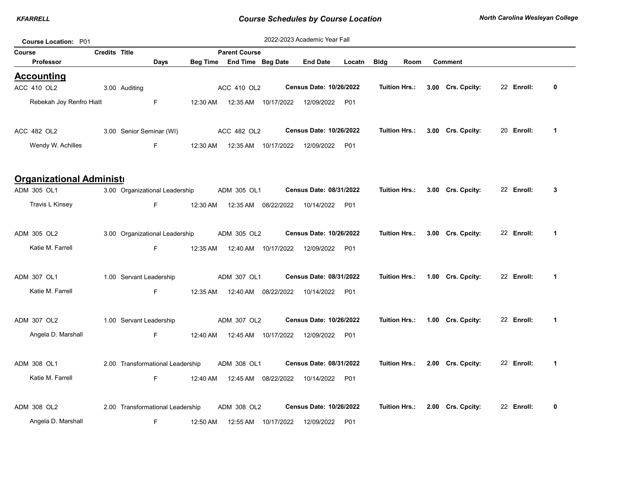| Course Location: P01            |                      |                                  |          |                            |                      | 2022-2023 Academic Year Fall   |        |                      |                   |            |             |
|---------------------------------|----------------------|----------------------------------|----------|----------------------------|----------------------|--------------------------------|--------|----------------------|-------------------|------------|-------------|
| <b>Course</b>                   | <b>Credits Title</b> |                                  |          | <b>Parent Course</b>       |                      |                                |        |                      |                   |            |             |
| <b>Professor</b>                |                      | Days                             |          | Beg Time End Time Beg Date |                      | <b>End Date</b>                | Locatn | <b>Bldg</b><br>Room  | <b>Comment</b>    |            |             |
| <b>Accounting</b>               |                      |                                  |          |                            |                      |                                |        |                      |                   |            |             |
| ACC 410 OL2                     |                      | 3.00 Auditing                    |          | ACC 410 OL2                |                      | <b>Census Date: 10/26/2022</b> |        | Tuition Hrs.:        | 3.00 Crs. Cpcity: | 22 Enroll: | 0           |
| Rebekah Joy Renfro Hiatt        |                      | F.                               | 12:30 AM |                            | 12:35 AM  10/17/2022 | 12/09/2022                     | P01    |                      |                   |            |             |
| ACC 482 OL2                     |                      | 3.00 Senior Seminar (WI)         |          | ACC 482 OL2                |                      | Census Date: 10/26/2022        |        | Tuition Hrs.:        | 3.00 Crs. Cpcity: | 20 Enroll: | 1           |
| Wendy W. Achilles               |                      | F.                               | 12:30 AM |                            | 12:35 AM  10/17/2022 | 12/09/2022                     | P01    |                      |                   |            |             |
| <b>Organizational Administi</b> |                      |                                  |          |                            |                      |                                |        |                      |                   |            |             |
| ADM 305 OL1                     |                      | 3.00 Organizational Leadership   |          | ADM 305 OL1                |                      | Census Date: 08/31/2022        |        | Tuition Hrs.:        | 3.00 Crs. Cpcity: | 22 Enroll: | 3           |
| Travis L Kinsey                 |                      | F.                               | 12:30 AM | 12:35 AM                   | 08/22/2022           | 10/14/2022                     | P01    |                      |                   |            |             |
| ADM 305 OL2                     |                      | 3.00 Organizational Leadership   |          | ADM 305 OL2                |                      | Census Date: 10/26/2022        |        | Tuition Hrs.:        | 3.00 Crs. Cpcity: | 22 Enroll: | $\mathbf 1$ |
| Katie M. Farrell                |                      | F.                               | 12:35 AM |                            | 12:40 AM  10/17/2022 | 12/09/2022                     | P01    |                      |                   |            |             |
| ADM 307 OL1                     |                      | 1.00 Servant Leadership          |          | ADM 307 OL1                |                      | Census Date: 08/31/2022        |        | Tuition Hrs.:        | 1.00 Crs. Cpcity: | 22 Enroll: | 1           |
| Katie M. Farrell                |                      | F.                               | 12:35 AM |                            | 12:40 AM 08/22/2022  | 10/14/2022                     | P01    |                      |                   |            |             |
| ADM 307 OL2                     |                      | 1.00 Servant Leadership          |          | ADM 307 OL2                |                      | Census Date: 10/26/2022        |        | Tuition Hrs.:        | 1.00 Crs. Cpcity: | 22 Enroll: | 1           |
| Angela D. Marshall              |                      | F.                               | 12:40 AM |                            | 12:45 AM  10/17/2022 | 12/09/2022                     | P01    |                      |                   |            |             |
| ADM 308 OL1                     |                      | 2.00 Transformational Leadership |          | ADM 308 OL1                |                      | Census Date: 08/31/2022        |        | Tuition Hrs.:        | 2.00 Crs. Cpcity: | 22 Enroll: | 1           |
| Katie M. Farrell                |                      | F.                               | 12:40 AM |                            | 12:45 AM 08/22/2022  | 10/14/2022                     | P01    |                      |                   |            |             |
| ADM 308 OL2                     |                      | 2.00 Transformational Leadership |          | ADM 308 OL2                |                      | Census Date: 10/26/2022        |        | <b>Tuition Hrs.:</b> | 2.00 Crs. Cpcity: | 22 Enroll: | 0           |
| Angela D. Marshall              |                      | F.                               | 12:50 AM |                            | 12:55 AM  10/17/2022 | 12/09/2022                     | P01    |                      |                   |            |             |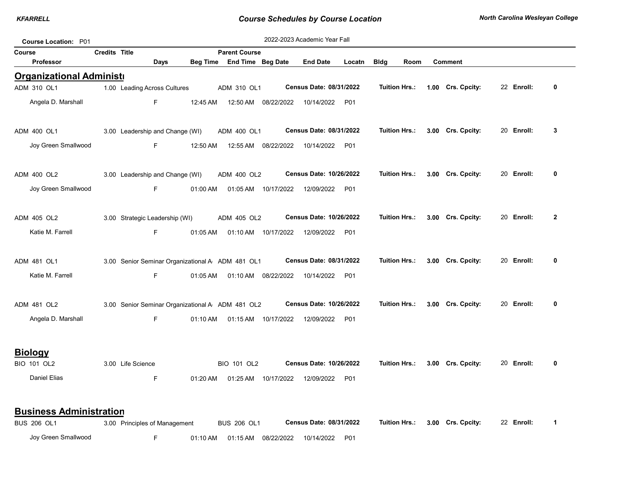|        | <b>Course Location: P01</b>     |                      |                                                  |                 |                      |                      | 2022-2023 Academic Year Fall |        |                      |      |                   |            |                |
|--------|---------------------------------|----------------------|--------------------------------------------------|-----------------|----------------------|----------------------|------------------------------|--------|----------------------|------|-------------------|------------|----------------|
| Course |                                 | <b>Credits Title</b> |                                                  |                 | <b>Parent Course</b> |                      |                              |        |                      |      |                   |            |                |
|        | Professor                       |                      | Days                                             | <b>Beg Time</b> | End Time Beg Date    |                      | <b>End Date</b>              | Locatn | <b>Bldg</b>          | Room | <b>Comment</b>    |            |                |
|        | <b>Organizational Administr</b> |                      |                                                  |                 |                      |                      |                              |        |                      |      |                   |            |                |
|        | ADM 310 OL1                     |                      | 1.00 Leading Across Cultures                     |                 | ADM 310 OL1          |                      | Census Date: 08/31/2022      |        | <b>Tuition Hrs.:</b> |      | 1.00 Crs. Cpcity: | 22 Enroll: | 0              |
|        | Angela D. Marshall              |                      | F                                                | 12:45 AM        | 12:50 AM             | 08/22/2022           | 10/14/2022                   | P01    |                      |      |                   |            |                |
|        | ADM 400 OL1                     |                      | 3.00 Leadership and Change (WI)                  |                 | ADM 400 OL1          |                      | Census Date: 08/31/2022      |        | <b>Tuition Hrs.:</b> |      | 3.00 Crs. Cpcity: | 20 Enroll: | 3              |
|        | Joy Green Smallwood             |                      | F                                                | 12:50 AM        | 12:55 AM             | 08/22/2022           | 10/14/2022                   | P01    |                      |      |                   |            |                |
|        | ADM 400 OL2                     |                      | 3.00 Leadership and Change (WI)                  |                 | ADM 400 OL2          |                      | Census Date: 10/26/2022      |        | <b>Tuition Hrs.:</b> |      | 3.00 Crs. Cpcity: | 20 Enroll: | 0              |
|        | Joy Green Smallwood             |                      | F                                                | 01:00 AM        | 01:05 AM             | 10/17/2022           | 12/09/2022                   | P01    |                      |      |                   |            |                |
|        | ADM 405 OL2                     |                      | 3.00 Strategic Leadership (WI)                   |                 | ADM 405 OL2          |                      | Census Date: 10/26/2022      |        | <b>Tuition Hrs.:</b> |      | 3.00 Crs. Cpcity: | 20 Enroll: | $\overline{2}$ |
|        | Katie M. Farrell                |                      | F                                                | 01:05 AM        |                      | 01:10 AM 10/17/2022  | 12/09/2022                   | P01    |                      |      |                   |            |                |
|        | ADM 481 OL1                     |                      | 3.00 Senior Seminar Organizational A ADM 481 OL1 |                 |                      |                      | Census Date: 08/31/2022      |        | <b>Tuition Hrs.:</b> |      | 3.00 Crs. Cpcity: | 20 Enroll: | $\mathbf{0}$   |
|        | Katie M. Farrell                |                      | F.                                               | 01:05 AM        | 01:10 AM             | 08/22/2022           | 10/14/2022                   | P01    |                      |      |                   |            |                |
|        | ADM 481 OL2                     |                      | 3.00 Senior Seminar Organizational A ADM 481 OL2 |                 |                      |                      | Census Date: 10/26/2022      |        | <b>Tuition Hrs.:</b> |      | 3.00 Crs. Cpcity: | 20 Enroll: | 0              |
|        | Angela D. Marshall              |                      | F.                                               | 01:10 AM        |                      | 01:15 AM  10/17/2022 | 12/09/2022                   | P01    |                      |      |                   |            |                |
|        | <b>Biology</b>                  |                      |                                                  |                 |                      |                      |                              |        |                      |      |                   |            |                |
|        | BIO 101 OL2                     |                      | 3.00 Life Science                                |                 | BIO 101 OL2          |                      | Census Date: 10/26/2022      |        | <b>Tuition Hrs.:</b> |      | 3.00 Crs. Cpcity: | 20 Enroll: | 0              |
|        | <b>Daniel Elias</b>             |                      | F                                                | 01:20 AM        |                      | 01:25 AM 10/17/2022  | 12/09/2022                   | P01    |                      |      |                   |            |                |
|        | <b>Business Administration</b>  |                      |                                                  |                 |                      |                      |                              |        |                      |      |                   |            |                |
|        | <b>BUS 206 OL1</b>              |                      | 3.00 Principles of Management                    |                 | <b>BUS 206 OL1</b>   |                      | Census Date: 08/31/2022      |        | <b>Tuition Hrs.:</b> |      | 3.00 Crs. Cpcity: | 22 Enroll: | $\mathbf 1$    |

Joy Green Smallwood F 01:10 AM 01:15 AM 08/22/2022 10/14/2022 P01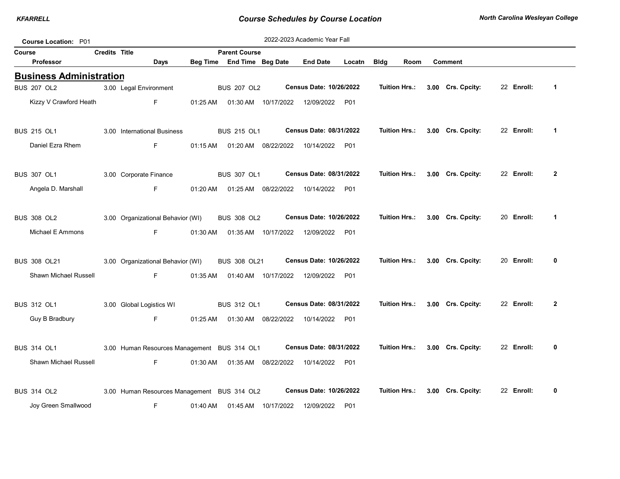| Course Location: P01           |                      |                                             |          |                                |                     | 2022-2023 Academic Year Fall     |                 |               |                      |                   |            |                |
|--------------------------------|----------------------|---------------------------------------------|----------|--------------------------------|---------------------|----------------------------------|-----------------|---------------|----------------------|-------------------|------------|----------------|
| Course                         | <b>Credits Title</b> |                                             |          | <b>Parent Course</b>           |                     |                                  |                 |               |                      |                   |            |                |
| <b>Professor</b>               |                      | <b>Days</b>                                 |          | Beg Time End Time Beg Date     |                     | <b>End Date</b>                  | Locatn          | <b>Bldg</b>   | Room                 | <b>Comment</b>    |            |                |
| <b>Business Administration</b> |                      |                                             |          |                                |                     |                                  |                 |               |                      |                   |            |                |
| <b>BUS 207 OL2</b>             |                      | 3.00 Legal Environment                      |          | <b>BUS 207 OL2</b>             |                     | Census Date: 10/26/2022          |                 | Tuition Hrs.: |                      | 3.00 Crs. Cpcity: | 22 Enroll: | $\mathbf{1}$   |
| Kizzy V Crawford Heath         |                      | F.                                          |          | 01:25 AM  01:30 AM  10/17/2022 |                     | 12/09/2022 P01                   |                 |               |                      |                   |            |                |
| <b>BUS 215 OL1</b>             |                      | 3.00 International Business                 |          | <b>BUS 215 OL1</b>             |                     | Census Date: 08/31/2022          |                 |               | Tuition Hrs.:        | 3.00 Crs. Cpcity: | 22 Enroll: | $\mathbf 1$    |
| Daniel Ezra Rhem               |                      | F.                                          | 01:15 AM |                                | 01:20 AM 08/22/2022 | 10/14/2022 P01                   |                 |               |                      |                   |            |                |
| <b>BUS 307 OL1</b>             |                      | 3.00 Corporate Finance                      |          | <b>BUS 307 OL1</b>             |                     | Census Date: 08/31/2022          |                 |               | Tuition Hrs.:        | 3.00 Crs. Cpcity: | 22 Enroll: | $\overline{2}$ |
| Angela D. Marshall             |                      | F.                                          |          | 01:20 AM  01:25 AM  08/22/2022 |                     | 10/14/2022                       | P01             |               |                      |                   |            |                |
| <b>BUS 308 OL2</b>             |                      | 3.00 Organizational Behavior (WI)           |          | <b>BUS 308 OL2</b>             |                     | <b>Census Date: 10/26/2022</b>   |                 |               | Tuition Hrs.:        | 3.00 Crs. Cpcity: | 20 Enroll: | $\mathbf{1}$   |
| Michael E Ammons               |                      | F.                                          | 01:30 AM |                                | 01:35 AM 10/17/2022 | 12/09/2022                       | P01             |               |                      |                   |            |                |
| <b>BUS 308 OL21</b>            |                      | 3.00 Organizational Behavior (WI)           |          | BUS 308 OL21                   |                     | Census Date: 10/26/2022          |                 |               | Tuition Hrs.:        | 3.00 Crs. Cpcity: | 20 Enroll: | 0              |
| Shawn Michael Russell          |                      | F.                                          | 01:35 AM |                                |                     | 01:40 AM  10/17/2022  12/09/2022 | P01             |               |                      |                   |            |                |
| <b>BUS 312 OL1</b>             |                      | 3.00 Global Logistics WI                    |          | <b>BUS 312 OL1</b>             |                     | Census Date: 08/31/2022          |                 |               | Tuition Hrs.:        | 3.00 Crs. Cpcity: | 22 Enroll: | $\mathbf{2}$   |
| Guy B Bradbury                 |                      | F.                                          |          | 01:25 AM  01:30 AM  08/22/2022 |                     | 10/14/2022 P01                   |                 |               |                      |                   |            |                |
| <b>BUS 314 OL1</b>             |                      | 3.00 Human Resources Management BUS 314 OL1 |          |                                |                     | Census Date: 08/31/2022          |                 |               | <b>Tuition Hrs.:</b> | 3.00 Crs. Cpcity: | 22 Enroll: | 0              |
| <b>Shawn Michael Russell</b>   |                      | F.                                          | 01:30 AM |                                | 01:35 AM 08/22/2022 | 10/14/2022 P01                   |                 |               |                      |                   |            |                |
| <b>BUS 314 OL2</b>             |                      | 3.00 Human Resources Management BUS 314 OL2 |          |                                |                     | Census Date: 10/26/2022          |                 |               | Tuition Hrs.:        | 3.00 Crs. Cpcity: | 22 Enroll: | 0              |
| Joy Green Smallwood            |                      | F                                           | 01:40 AM | 01:45 AM                       | 10/17/2022          | 12/09/2022                       | P <sub>01</sub> |               |                      |                   |            |                |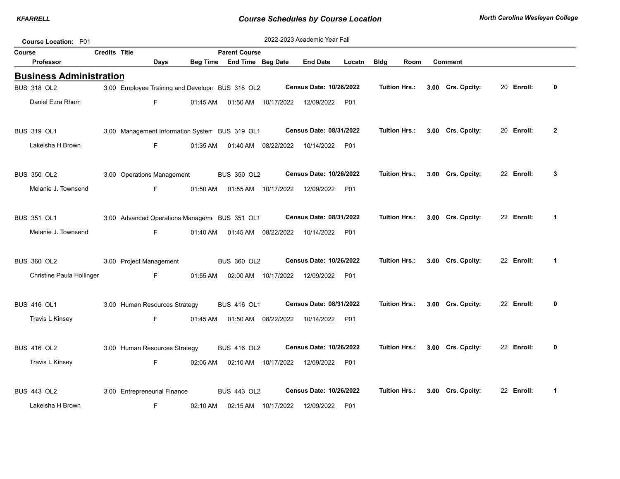| Course Location: P01           |                      |                               |             |          |                                                 |                      | 2022-2023 Academic Year Fall   |            |             |                      |                   |            |                         |
|--------------------------------|----------------------|-------------------------------|-------------|----------|-------------------------------------------------|----------------------|--------------------------------|------------|-------------|----------------------|-------------------|------------|-------------------------|
| <b>Course</b>                  | <b>Credits Title</b> |                               |             |          | <b>Parent Course</b>                            |                      |                                |            |             |                      |                   |            |                         |
| Professor                      |                      |                               | <b>Days</b> | Beg Time | End Time Beg Date                               |                      | <b>End Date</b>                | Locatn     | <b>Bldg</b> | Room                 | <b>Comment</b>    |            |                         |
| <b>Business Administration</b> |                      |                               |             |          |                                                 |                      |                                |            |             |                      |                   |            |                         |
| <b>BUS 318 OL2</b>             |                      |                               |             |          | 3.00 Employee Training and Developn BUS 318 OL2 |                      | Census Date: 10/26/2022        |            |             | <b>Tuition Hrs.:</b> | 3.00 Crs. Cpcity: | 20 Enroll: | 0                       |
| Daniel Ezra Rhem               |                      |                               | F.          | 01:45 AM |                                                 | 01:50 AM  10/17/2022 | 12/09/2022 P01                 |            |             |                      |                   |            |                         |
| <b>BUS 319 OL1</b>             |                      |                               |             |          | 3.00 Management Information System BUS 319 OL1  |                      | Census Date: 08/31/2022        |            |             | <b>Tuition Hrs.:</b> | 3.00 Crs. Cpcity: | 20 Enroll: | $\mathbf{2}$            |
| Lakeisha H Brown               |                      |                               | F.          | 01:35 AM |                                                 | 01:40 AM 08/22/2022  | 10/14/2022                     | <b>P01</b> |             |                      |                   |            |                         |
| <b>BUS 350 OL2</b>             |                      | 3.00 Operations Management    |             |          | <b>BUS 350 OL2</b>                              |                      | Census Date: 10/26/2022        |            |             | <b>Tuition Hrs.:</b> | 3.00 Crs. Cpcity: | 22 Enroll: | 3                       |
| Melanie J. Townsend            |                      |                               | F.          | 01:50 AM |                                                 | 01:55 AM 10/17/2022  | 12/09/2022 P01                 |            |             |                      |                   |            |                         |
| <b>BUS 351 OL1</b>             |                      |                               |             |          | 3.00 Advanced Operations Managem  BUS 351 OL1   |                      | Census Date: 08/31/2022        |            |             | <b>Tuition Hrs.:</b> | 3.00 Crs. Cpcity: | 22 Enroll: | $\overline{\mathbf{1}}$ |
| Melanie J. Townsend            |                      |                               | F.          | 01:40 AM |                                                 | 01:45 AM 08/22/2022  | 10/14/2022 P01                 |            |             |                      |                   |            |                         |
| <b>BUS 360 OL2</b>             |                      | 3.00 Project Management       |             |          | <b>BUS 360 OL2</b>                              |                      | Census Date: 10/26/2022        |            |             | <b>Tuition Hrs.:</b> | 3.00 Crs. Cpcity: | 22 Enroll: | $\mathbf{1}$            |
| Christine Paula Hollinger      |                      |                               | F           | 01:55 AM |                                                 | 02:00 AM 10/17/2022  | 12/09/2022                     | P01        |             |                      |                   |            |                         |
| <b>BUS 416 OL1</b>             |                      | 3.00 Human Resources Strategy |             |          | <b>BUS 416 OL1</b>                              |                      | Census Date: 08/31/2022        |            |             | <b>Tuition Hrs.:</b> | 3.00 Crs. Cpcity: | 22 Enroll: | 0                       |
| Travis L Kinsey                |                      |                               | F.          | 01:45 AM |                                                 | 01:50 AM 08/22/2022  | 10/14/2022 P01                 |            |             |                      |                   |            |                         |
| <b>BUS 416 OL2</b>             |                      | 3.00 Human Resources Strategy |             |          | <b>BUS 416 OL2</b>                              |                      | Census Date: 10/26/2022        |            |             | <b>Tuition Hrs.:</b> | 3.00 Crs. Cpcity: | 22 Enroll: | 0                       |
| Travis L Kinsey                |                      |                               | F.          | 02:05 AM |                                                 | 02:10 AM 10/17/2022  | 12/09/2022                     | P01        |             |                      |                   |            |                         |
| <b>BUS 443 OL2</b>             |                      | 3.00 Entrepreneurial Finance  |             |          | <b>BUS 443 OL2</b>                              |                      | <b>Census Date: 10/26/2022</b> |            |             | Tuition Hrs.:        | 3.00 Crs. Cpcity: | 22 Enroll: | $\mathbf{1}$            |
| Lakeisha H Brown               |                      |                               | F           | 02:10 AM | 02:15 AM                                        | 10/17/2022           | 12/09/2022                     | P01        |             |                      |                   |            |                         |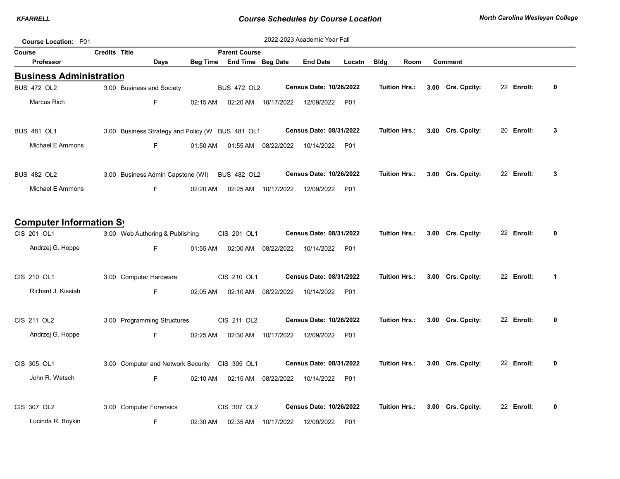| <b>Course Location: P01</b>    |                      |                                                  |          |                            |                     | 2022-2023 Academic Year Fall          |            |                      |      |                   |            |             |
|--------------------------------|----------------------|--------------------------------------------------|----------|----------------------------|---------------------|---------------------------------------|------------|----------------------|------|-------------------|------------|-------------|
| Course                         | <b>Credits Title</b> |                                                  |          | <b>Parent Course</b>       |                     |                                       |            |                      |      |                   |            |             |
| <b>Professor</b>               |                      | Days                                             |          | Beg Time End Time Beg Date |                     | <b>End Date</b>                       | Locatn     | <b>Bldg</b>          | Room | <b>Comment</b>    |            |             |
| <b>Business Administration</b> |                      |                                                  |          |                            |                     |                                       |            |                      |      |                   |            |             |
| BUS 472 OL2                    |                      | 3.00 Business and Society                        |          | <b>BUS 472 OL2</b>         |                     | <b>Census Date: 10/26/2022</b>        |            | <b>Tuition Hrs.:</b> |      | 3.00 Crs. Cpcity: | 22 Enroll: | 0           |
| Marcus Rich                    |                      | F.                                               | 02:15 AM |                            | 02:20 AM 10/17/2022 | 12/09/2022 P01                        |            |                      |      |                   |            |             |
| <b>BUS 481 OL1</b>             |                      | 3.00 Business Strategy and Policy (W BUS 481 OL1 |          |                            |                     | Census Date: 08/31/2022               |            | Tuition Hrs.:        |      | 3.00 Crs. Cpcity: | 20 Enroll: | 3           |
| Michael E Ammons               |                      | F                                                | 01:50 AM |                            | 01:55 AM 08/22/2022 | 10/14/2022                            | P01        |                      |      |                   |            |             |
| BUS 482 OL2                    |                      | 3.00 Business Admin Capstone (WI) BUS 482 OL2    |          |                            |                     | Census Date: 10/26/2022               |            | Tuition Hrs.:        |      | 3.00 Crs. Cpcity: | 22 Enroll: | 3           |
| Michael E Ammons               |                      | F.                                               | 02:20 AM |                            |                     | 02:25 AM  10/17/2022  12/09/2022      | <b>P01</b> |                      |      |                   |            |             |
| <b>Computer Information Sy</b> |                      |                                                  |          |                            |                     |                                       |            |                      |      |                   |            |             |
| CIS 201 OL1                    |                      | 3.00 Web Authoring & Publishing                  |          | CIS 201 OL1                |                     | <b>Census Date: 08/31/2022</b>        |            | <b>Tuition Hrs.:</b> |      | 3.00 Crs. Cpcity: | 22 Enroll: | 0           |
| Andrzej G. Hoppe               |                      | F.                                               | 01:55 AM |                            |                     | 02:00 AM  08/22/2022  10/14/2022  P01 |            |                      |      |                   |            |             |
| CIS 210 OL1                    |                      | 3.00 Computer Hardware                           |          | CIS 210 OL1                |                     | Census Date: 08/31/2022               |            | <b>Tuition Hrs.:</b> |      | 3.00 Crs. Cpcity: | 22 Enroll: | $\mathbf 1$ |
| Richard J. Kissiah             |                      | F.                                               | 02:05 AM |                            | 02:10 AM 08/22/2022 | 10/14/2022 P01                        |            |                      |      |                   |            |             |
| CIS 211 OL2                    |                      | 3.00 Programming Structures                      |          | CIS 211 OL2                |                     | <b>Census Date: 10/26/2022</b>        |            | Tuition Hrs.:        |      | 3.00 Crs. Cpcity: | 22 Enroll: | 0           |
| Andrzej G. Hoppe               |                      | F                                                | 02:25 AM |                            |                     | 02:30 AM  10/17/2022  12/09/2022  P01 |            |                      |      |                   |            |             |
| CIS 305 OL1                    |                      | 3.00 Computer and Network Security CIS 305 OL1   |          |                            |                     | Census Date: 08/31/2022               |            | Tuition Hrs.:        |      | 3.00 Crs. Cpcity: | 22 Enroll: | 0           |
| John R. Wetsch                 |                      | F.                                               | 02:10 AM |                            | 02:15 AM 08/22/2022 | 10/14/2022 P01                        |            |                      |      |                   |            |             |
| CIS 307 OL2                    |                      | 3.00 Computer Forensics                          |          | CIS 307 OL2                |                     | Census Date: 10/26/2022               |            | <b>Tuition Hrs.:</b> |      | 3.00 Crs. Cpcity: | 22 Enroll: | 0           |
| Lucinda R. Boykin              |                      | F                                                | 02:30 AM |                            | 02:35 AM 10/17/2022 | 12/09/2022 P01                        |            |                      |      |                   |            |             |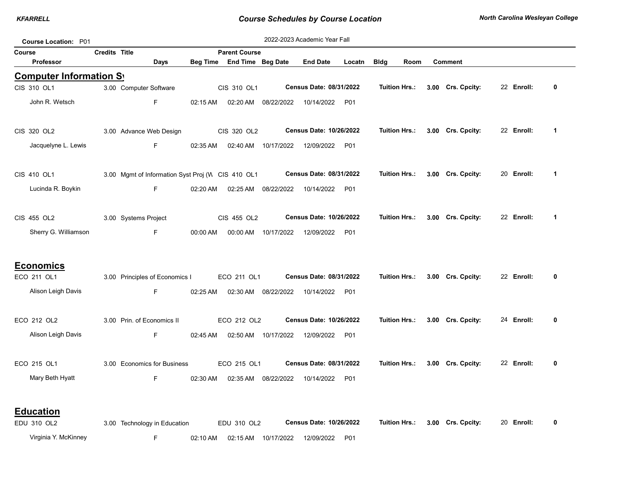| <b>Course Location: P01</b> |               |                                                   |            |                            |                     | 2022-2023 Academic Year Fall   |        |                      |      |                   |            |             |
|-----------------------------|---------------|---------------------------------------------------|------------|----------------------------|---------------------|--------------------------------|--------|----------------------|------|-------------------|------------|-------------|
| Course                      | Credits Title |                                                   |            | <b>Parent Course</b>       |                     |                                |        |                      |      |                   |            |             |
| <b>Professor</b>            |               | Days                                              |            | Beg Time End Time Beg Date |                     | <b>End Date</b>                | Locatn | <b>Bldg</b>          | Room | <b>Comment</b>    |            |             |
| Computer Information Sy     |               |                                                   |            |                            |                     |                                |        |                      |      |                   |            |             |
| CIS 310 OL1                 |               | 3.00 Computer Software                            |            | CIS 310 OL1                |                     | Census Date: 08/31/2022        |        | <b>Tuition Hrs.:</b> |      | 3.00 Crs. Cpcity: | 22 Enroll: | 0           |
| John R. Wetsch              |               | F.                                                | 02:15 AM   | 02:20 AM                   | 08/22/2022          | 10/14/2022                     | P01    |                      |      |                   |            |             |
| CIS 320 OL2                 |               | 3.00 Advance Web Design                           |            | CIS 320 OL2                |                     | Census Date: 10/26/2022        |        | <b>Tuition Hrs.:</b> |      | 3.00 Crs. Cpcity: | 22 Enroll: | $\mathbf 1$ |
| Jacquelyne L. Lewis         |               | F.                                                | 02:35 AM   |                            | 02:40 AM 10/17/2022 | 12/09/2022                     | P01    |                      |      |                   |            |             |
| CIS 410 OL1                 |               | 3.00 Mgmt of Information Syst Proj (V CIS 410 OL1 |            |                            |                     | Census Date: 08/31/2022        |        | Tuition Hrs.:        |      | 3.00 Crs. Cpcity: | 20 Enroll: | $\mathbf 1$ |
| Lucinda R. Boykin           |               | F.                                                | $02:20$ AM |                            | 02:25 AM 08/22/2022 | 10/14/2022                     | P01    |                      |      |                   |            |             |
| CIS 455 OL2                 |               | 3.00 Systems Project                              |            | CIS 455 OL2                |                     | Census Date: 10/26/2022        |        | <b>Tuition Hrs.:</b> |      | 3.00 Crs. Cpcity: | 22 Enroll: | $\mathbf 1$ |
| Sherry G. Williamson        |               | F.                                                | 00:00 AM   | 00:00 AM                   | 10/17/2022          | 12/09/2022                     | P01    |                      |      |                   |            |             |
| <b>Economics</b>            |               |                                                   |            |                            |                     |                                |        |                      |      |                   |            |             |
| ECO 211 OL1                 |               | 3.00 Principles of Economics I                    |            | ECO 211 OL1                |                     | Census Date: 08/31/2022        |        | Tuition Hrs.:        |      | 3.00 Crs. Cpcity: | 22 Enroll: | 0           |
| Alison Leigh Davis          |               | F.                                                | 02:25 AM   |                            | 02:30 AM 08/22/2022 | 10/14/2022                     | P01    |                      |      |                   |            |             |
| ECO 212 OL2                 |               | 3.00 Prin. of Economics II                        |            | ECO 212 OL2                |                     | Census Date: 10/26/2022        |        | Tuition Hrs.:        |      | 3.00 Crs. Cpcity: | 24 Enroll: | 0           |
| Alison Leigh Davis          |               | F.                                                | 02:45 AM   | 02:50 AM                   | 10/17/2022          | 12/09/2022                     | P01    |                      |      |                   |            |             |
| ECO 215 OL1                 |               | 3.00 Economics for Business                       |            | ECO 215 OL1                |                     | Census Date: 08/31/2022        |        | <b>Tuition Hrs.:</b> |      | 3.00 Crs. Cpcity: | 22 Enroll: | 0           |
| Mary Beth Hyatt             |               | F                                                 | 02:30 AM   | 02:35 AM                   | 08/22/2022          | 10/14/2022                     | P01    |                      |      |                   |            |             |
| <b>Education</b>            |               |                                                   |            |                            |                     |                                |        |                      |      |                   |            |             |
| EDU 310 OL2                 |               | 3.00 Technology in Education                      |            | EDU 310 OL2                |                     | <b>Census Date: 10/26/2022</b> |        | Tuition Hrs.:        |      | 3.00 Crs. Cpcity: | 20 Enroll: | 0           |
| Virginia Y. McKinney        |               | F                                                 | 02:10 AM   |                            | 02:15 AM 10/17/2022 | 12/09/2022                     | P01    |                      |      |                   |            |             |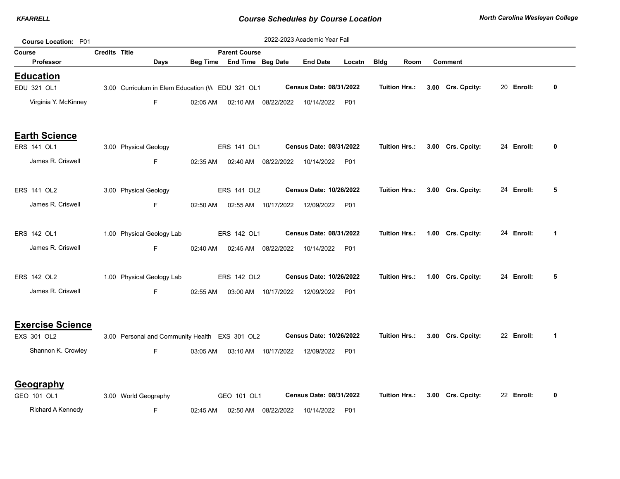| Course Location: P01            |                      |                                                  |          |                                                    |                      | 2022-2023 Academic Year Fall     |        |                      |                                 |            |   |
|---------------------------------|----------------------|--------------------------------------------------|----------|----------------------------------------------------|----------------------|----------------------------------|--------|----------------------|---------------------------------|------------|---|
| Course<br>Professor             | <b>Credits Title</b> |                                                  |          | <b>Parent Course</b><br>Beg Time End Time Beg Date |                      | <b>End Date</b>                  | Locatn | <b>Bldg</b><br>Room  | <b>Comment</b>                  |            |   |
|                                 |                      | Days                                             |          |                                                    |                      |                                  |        |                      |                                 |            |   |
| <b>Education</b><br>EDU 321 OL1 |                      | 3.00 Curriculum in Elem Education (W EDU 321 OL1 |          |                                                    |                      | Census Date: 08/31/2022          |        | Tuition Hrs.:        | 3.00 Crs. Cpcity:               | 20 Enroll: | 0 |
| Virginia Y. McKinney            |                      | F.                                               | 02:05 AM |                                                    | 02:10 AM  08/22/2022 | 10/14/2022 P01                   |        |                      |                                 |            |   |
| <b>Earth Science</b>            |                      |                                                  |          |                                                    |                      |                                  |        |                      |                                 |            |   |
| ERS 141 OL1                     |                      | 3.00 Physical Geology                            |          | ERS 141 OL1                                        |                      | Census Date: 08/31/2022          |        |                      | Tuition Hrs.: 3.00 Crs. Cpcity: | 24 Enroll: | 0 |
| James R. Criswell               |                      | F                                                | 02:35 AM |                                                    | 02:40 AM  08/22/2022 | 10/14/2022                       | P01    |                      |                                 |            |   |
| ERS 141 OL2                     |                      | 3.00 Physical Geology                            |          | ERS 141 OL2                                        |                      | Census Date: 10/26/2022          |        | <b>Tuition Hrs.:</b> | 3.00 Crs. Cpcity:               | 24 Enroll: | 5 |
| James R. Criswell               |                      | F.                                               | 02:50 AM |                                                    |                      | 12/09/2022                       | P01    |                      |                                 |            |   |
| ERS 142 OL1                     |                      | 1.00 Physical Geology Lab                        |          | ERS 142 OL1                                        |                      | Census Date: 08/31/2022          |        | <b>Tuition Hrs.:</b> | 1.00 Crs. Cpcity:               | 24 Enroll: | 1 |
| James R. Criswell               |                      | $\mathsf F$                                      | 02:40 AM |                                                    |                      | 02:45 AM  08/22/2022  10/14/2022 | P01    |                      |                                 |            |   |
| ERS 142 OL2                     |                      | 1.00 Physical Geology Lab                        |          | ERS 142 OL2                                        |                      | Census Date: 10/26/2022          |        |                      | Tuition Hrs.: 1.00 Crs. Cpcity: | 24 Enroll: | 5 |
| James R. Criswell               |                      | F                                                | 02:55 AM |                                                    |                      | 03:00 AM  10/17/2022  12/09/2022 | P01    |                      |                                 |            |   |
| <b>Exercise Science</b>         |                      |                                                  |          |                                                    |                      |                                  |        |                      |                                 |            |   |
| EXS 301 OL2                     |                      | 3.00 Personal and Community Health EXS 301 OL2   |          |                                                    |                      | <b>Census Date: 10/26/2022</b>   |        | Tuition Hrs.:        | 3.00 Crs. Cpcity:               | 22 Enroll: | 1 |
| Shannon K. Crowley              |                      | F.                                               | 03:05 AM |                                                    |                      | 03:10 AM  10/17/2022  12/09/2022 | P01    |                      |                                 |            |   |
| Geography                       |                      |                                                  |          |                                                    |                      |                                  |        |                      |                                 |            |   |
| GEO 101 OL1                     |                      | 3.00 World Geography                             |          | GEO 101 OL1                                        |                      | Census Date: 08/31/2022          |        | <b>Tuition Hrs.:</b> | 3.00 Crs. Cpcity:               | 22 Enroll: | 0 |
| Richard A Kennedy               |                      | F                                                | 02:45 AM |                                                    | 02:50 AM 08/22/2022  | 10/14/2022                       | P01    |                      |                                 |            |   |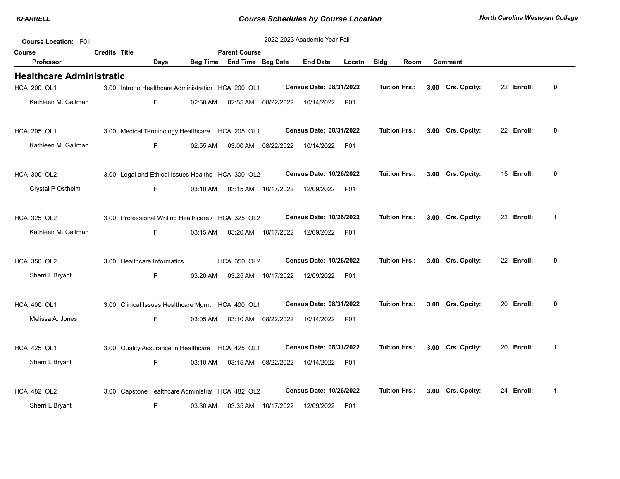| Course Location: P01            |                      |                                                     |          |                                                  |                      | 2022-2023 Academic Year Fall   |        |                      |                      |                   |            |                         |
|---------------------------------|----------------------|-----------------------------------------------------|----------|--------------------------------------------------|----------------------|--------------------------------|--------|----------------------|----------------------|-------------------|------------|-------------------------|
| Course<br>Professor             | <b>Credits Title</b> | Days                                                | Beg Time | <b>Parent Course</b><br><b>End Time Beg Date</b> |                      | <b>End Date</b>                | Locatn | <b>Bldg</b>          | Room                 | <b>Comment</b>    |            |                         |
| <b>Healthcare Administratio</b> |                      |                                                     |          |                                                  |                      |                                |        |                      |                      |                   |            |                         |
| <b>HCA 200 OL1</b>              |                      | 3.00 Intro to Healthcare Administratior HCA 200 OL1 |          |                                                  |                      | Census Date: 08/31/2022        |        | <b>Tuition Hrs.:</b> |                      | 3.00 Crs. Cpcity: | 22 Enroll: | 0                       |
| Kathleen M. Gallman             |                      | F                                                   | 02:50 AM | 02:55 AM                                         | 08/22/2022           | 10/14/2022                     | P01    |                      |                      |                   |            |                         |
| <b>HCA 205 OL1</b>              |                      | 3.00 Medical Terminology Healthcare / HCA 205 OL1   |          |                                                  |                      | Census Date: 08/31/2022        |        | <b>Tuition Hrs.:</b> |                      | 3.00 Crs. Cpcity: | 22 Enroll: | 0                       |
| Kathleen M. Gallman             |                      | F.                                                  | 02:55 AM | 03:00 AM                                         | 08/22/2022           | 10/14/2022                     | P01    |                      |                      |                   |            |                         |
| <b>HCA 300 OL2</b>              |                      | 3.00 Legal and Ethical Issues Healthc HCA 300 OL2   |          |                                                  |                      | Census Date: 10/26/2022        |        | <b>Tuition Hrs.:</b> |                      | 3.00 Crs. Cpcity: | 15 Enroll: | 0                       |
| Crystal P Ostheim               |                      | F                                                   | 03:10 AM |                                                  | 03:15 AM  10/17/2022 | 12/09/2022                     | P01    |                      |                      |                   |            |                         |
| HCA 325 OL2                     |                      | 3.00 Professional Writing Healthcare / HCA 325 OL2  |          |                                                  |                      | <b>Census Date: 10/26/2022</b> |        | <b>Tuition Hrs.:</b> |                      | 3.00 Crs. Cpcity: | 22 Enroll: | $\mathbf 1$             |
| Kathleen M. Gallman             |                      | F                                                   | 03:15 AM |                                                  | 03:20 AM 10/17/2022  | 12/09/2022                     | P01    |                      |                      |                   |            |                         |
| <b>HCA 350 OL2</b>              |                      | 3.00 Healthcare Informatics                         |          | <b>HCA 350 OL2</b>                               |                      | <b>Census Date: 10/26/2022</b> |        | <b>Tuition Hrs.:</b> |                      | 3.00 Crs. Cpcity: | 22 Enroll: | 0                       |
| Sherri L Bryant                 |                      | F                                                   | 03:20 AM | 03:25 AM                                         | 10/17/2022           | 12/09/2022                     | P01    |                      |                      |                   |            |                         |
| <b>HCA 400 OL1</b>              |                      | 3.00 Clinical Issues Healthcare Mgmt HCA 400 OL1    |          |                                                  |                      | Census Date: 08/31/2022        |        | Tuition Hrs.:        |                      | 3.00 Crs. Cpcity: | 20 Enroll: | 0                       |
| Melissa A. Jones                |                      | F                                                   | 03:05 AM |                                                  | 03:10 AM 08/22/2022  | 10/14/2022                     | P01    |                      |                      |                   |            |                         |
| <b>HCA 425 OL1</b>              |                      | 3.00 Quality Assurance in Healthcare HCA 425 OL1    |          |                                                  |                      | Census Date: 08/31/2022        |        |                      | <b>Tuition Hrs.:</b> | 3.00 Crs. Cpcity: | 20 Enroll: | $\overline{\mathbf{1}}$ |
| Sherri L Bryant                 |                      | F                                                   | 03:10 AM |                                                  | 03:15 AM 08/22/2022  | 10/14/2022                     | P01    |                      |                      |                   |            |                         |
| <b>HCA 482 OL2</b>              |                      | 3.00 Capstone Healthcare Administrat HCA 482 OL2    |          |                                                  |                      | <b>Census Date: 10/26/2022</b> |        | <b>Tuition Hrs.:</b> |                      | 3.00 Crs. Cpcity: | 24 Enroll: | $\mathbf 1$             |
| Sherri L Bryant                 |                      | F                                                   | 03:30 AM | 03:35 AM                                         | 10/17/2022           | 12/09/2022                     | P01    |                      |                      |                   |            |                         |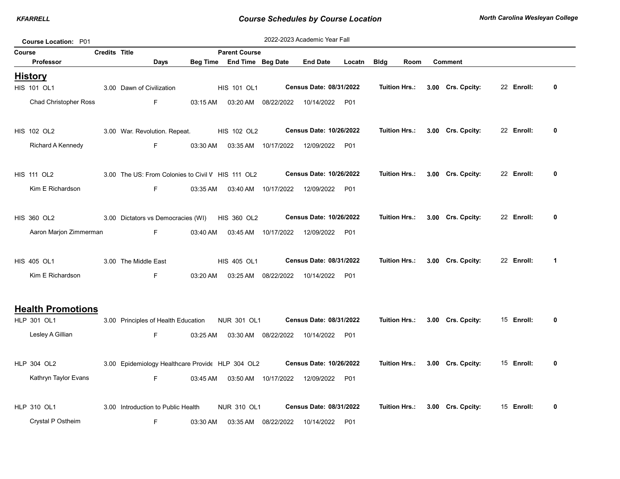|        | Course Location: P01          |                      |                                                   |          |                            |                     | 2022-2023 Academic Year Fall   |                  |                      |                   |            |              |
|--------|-------------------------------|----------------------|---------------------------------------------------|----------|----------------------------|---------------------|--------------------------------|------------------|----------------------|-------------------|------------|--------------|
| Course |                               | <b>Credits Title</b> |                                                   |          | <b>Parent Course</b>       |                     |                                |                  |                      |                   |            |              |
|        | Professor                     |                      | Days                                              |          | Beg Time End Time Beg Date |                     | <b>End Date</b>                | Locatn           | <b>Bldg</b><br>Room  | <b>Comment</b>    |            |              |
|        | <b>History</b><br>HIS 101 OL1 |                      | 3.00 Dawn of Civilization                         |          | HIS 101 OL1                |                     | Census Date: 08/31/2022        |                  | Tuition Hrs.:        | 3.00 Crs. Cpcity: | 22 Enroll: | 0            |
|        | <b>Chad Christopher Ross</b>  |                      | F.                                                | 03:15 AM | 03:20 AM                   | 08/22/2022          | 10/14/2022                     | P01              |                      |                   |            |              |
|        | <b>HIS 102 OL2</b>            |                      | 3.00 War. Revolution. Repeat.                     |          | HIS 102 OL2                |                     | Census Date: 10/26/2022        |                  | <b>Tuition Hrs.:</b> | 3.00 Crs. Cpcity: | 22 Enroll: | 0            |
|        | Richard A Kennedy             |                      | F.                                                | 03:30 AM | 03:35 AM                   | 10/17/2022          | 12/09/2022                     | P01              |                      |                   |            |              |
|        | <b>HIS 111 OL2</b>            |                      | 3.00 The US: From Colonies to Civil V HIS 111 OL2 |          |                            |                     | Census Date: 10/26/2022        |                  | <b>Tuition Hrs.:</b> | 3.00 Crs. Cpcity: | 22 Enroll: | $\mathbf{0}$ |
|        | Kim E Richardson              |                      | F.                                                | 03:35 AM |                            | 03:40 AM 10/17/2022 | 12/09/2022                     | P <sub>0</sub> 1 |                      |                   |            |              |
|        | <b>HIS 360 OL2</b>            |                      | 3.00 Dictators vs Democracies (WI)                |          | <b>HIS 360 OL2</b>         |                     | <b>Census Date: 10/26/2022</b> |                  | <b>Tuition Hrs.:</b> | 3.00 Crs. Cpcity: | 22 Enroll: | 0            |
|        | Aaron Marjon Zimmerman        |                      | F.                                                | 03:40 AM | 03:45 AM                   | 10/17/2022          | 12/09/2022                     | P01              |                      |                   |            |              |
|        | HIS 405 OL1                   |                      | 3.00 The Middle East                              |          | HIS 405 OL1                |                     | Census Date: 08/31/2022        |                  | Tuition Hrs.:        | 3.00 Crs. Cpcity: | 22 Enroll: | 1            |
|        | Kim E Richardson              |                      | F.                                                | 03:20 AM | 03:25 AM                   | 08/22/2022          | 10/14/2022                     | P01              |                      |                   |            |              |
|        | <b>Health Promotions</b>      |                      |                                                   |          |                            |                     |                                |                  |                      |                   |            |              |
|        | HLP 301 OL1                   |                      | 3.00 Principles of Health Education               |          | <b>NUR 301 OL1</b>         |                     | Census Date: 08/31/2022        |                  | <b>Tuition Hrs.:</b> | 3.00 Crs. Cpcity: | 15 Enroll: | 0            |
|        | Lesley A Gillian              |                      | F.                                                | 03:25 AM | 03:30 AM                   | 08/22/2022          | 10/14/2022                     | P01              |                      |                   |            |              |
|        | HLP 304 OL2                   |                      | 3.00 Epidemiology Healthcare Provide HLP 304 OL2  |          |                            |                     | Census Date: 10/26/2022        |                  | <b>Tuition Hrs.:</b> | 3.00 Crs. Cpcity: | 15 Enroll: | $\mathbf{0}$ |
|        | Kathryn Taylor Evans          |                      | F.                                                | 03:45 AM |                            | 03:50 AM 10/17/2022 | 12/09/2022                     | P01              |                      |                   |            |              |
|        | HLP 310 OL1                   |                      | 3.00 Introduction to Public Health                |          | NUR 310 OL1                |                     | Census Date: 08/31/2022        |                  | Tuition Hrs.:        | 3.00 Crs. Cpcity: | 15 Enroll: | 0            |
|        | Crystal P Ostheim             |                      | F                                                 | 03:30 AM | 03:35 AM                   | 08/22/2022          | 10/14/2022                     | P01              |                      |                   |            |              |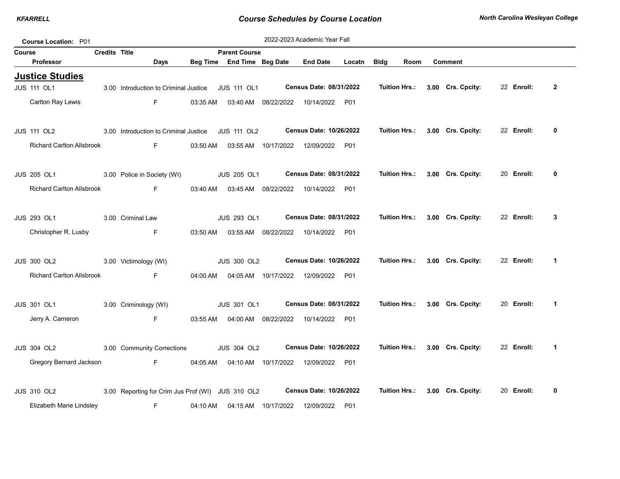|        | Course Location: P01                                   |                      |                                                   |          |                      |                      | 2022-2023 Academic Year Fall     |                  |                      |                   |            |                      |
|--------|--------------------------------------------------------|----------------------|---------------------------------------------------|----------|----------------------|----------------------|----------------------------------|------------------|----------------------|-------------------|------------|----------------------|
| Course |                                                        | <b>Credits Title</b> |                                                   |          | <b>Parent Course</b> |                      |                                  |                  |                      |                   |            |                      |
|        | <b>Professor</b>                                       |                      | Days                                              | Beg Time | End Time Beg Date    |                      | <b>End Date</b>                  | Locatn           | <b>Bldg</b><br>Room  | <b>Comment</b>    |            |                      |
|        | <b>Justice Studies</b><br><b>JUS 111 OL1</b>           |                      | 3.00 Introduction to Criminal Justice             |          | <b>JUS 111 OL1</b>   |                      | Census Date: 08/31/2022          |                  | <b>Tuition Hrs.:</b> | 3.00 Crs. Cpcity: | 22 Enroll: | $\overline{2}$       |
|        | Carlton Ray Lewis                                      |                      | F.                                                | 03:35 AM |                      | 03:40 AM 08/22/2022  | 10/14/2022                       | P01              |                      |                   |            |                      |
|        | <b>JUS 111 OL2</b>                                     |                      | 3.00 Introduction to Criminal Justice             |          | <b>JUS 111 OL2</b>   |                      | Census Date: 10/26/2022          |                  | <b>Tuition Hrs.:</b> | 3.00 Crs. Cpcity: | 22 Enroll: | 0                    |
|        | <b>Richard Carlton Allsbrook</b>                       |                      | F                                                 | 03:50 AM |                      |                      | 03:55 AM  10/17/2022  12/09/2022 | P01              |                      |                   |            |                      |
|        | <b>JUS 205 OL1</b>                                     |                      | 3.00 Police in Society (WI)                       |          | <b>JUS 205 OL1</b>   |                      | Census Date: 08/31/2022          |                  | Tuition Hrs.:        | 3.00 Crs. Cpcity: | 20 Enroll: | 0                    |
|        | <b>Richard Carlton Allsbrook</b>                       |                      | F                                                 | 03:40 AM |                      | 03:45 AM 08/22/2022  | 10/14/2022                       | P01              |                      |                   |            |                      |
|        | <b>JUS 293 OL1</b>                                     |                      | 3.00 Criminal Law                                 |          | JUS 293 OL1          |                      | Census Date: 08/31/2022          |                  | <b>Tuition Hrs.:</b> | 3.00 Crs. Cpcity: | 22 Enroll: | 3                    |
|        | Christopher R. Lusby                                   |                      | F.                                                | 03:50 AM |                      | 03:55 AM 08/22/2022  | 10/14/2022                       | P01              |                      |                   |            |                      |
|        | <b>JUS 300 OL2</b><br><b>Richard Carlton Allsbrook</b> |                      | 3.00 Victimology (WI)                             |          | <b>JUS 300 OL2</b>   |                      | Census Date: 10/26/2022          |                  | Tuition Hrs.:        | 3.00 Crs. Cpcity: | 22 Enroll: | 1                    |
|        |                                                        |                      | F                                                 | 04:00 AM |                      |                      | 04:05 AM  10/17/2022  12/09/2022 | P01              |                      |                   |            |                      |
|        | <b>JUS 301 OL1</b>                                     |                      | 3.00 Criminology (WI)                             |          | <b>JUS 301 OL1</b>   |                      | <b>Census Date: 08/31/2022</b>   |                  | Tuition Hrs.:        | 3.00 Crs. Cpcity: | 20 Enroll: | $\mathbf 1$          |
|        | Jerry A. Cameron                                       |                      | F.                                                | 03:55 AM |                      | 04:00 AM 08/22/2022  | 10/14/2022                       | P01              |                      |                   |            |                      |
|        | <b>JUS 304 OL2</b>                                     |                      | 3.00 Community Corrections                        |          | <b>JUS 304 OL2</b>   |                      | <b>Census Date: 10/26/2022</b>   |                  | <b>Tuition Hrs.:</b> | 3.00 Crs. Cpcity: | 22 Enroll: | $\blacktriangleleft$ |
|        | Gregory Bernard Jackson                                |                      | F                                                 | 04:05 AM |                      | 04:10 AM 10/17/2022  | 12/09/2022                       | P <sub>0</sub> 1 |                      |                   |            |                      |
|        | <b>JUS 310 OL2</b>                                     |                      | 3.00 Reporting for Crim Jus Prof (WI) JUS 310 OL2 |          |                      |                      | <b>Census Date: 10/26/2022</b>   |                  | <b>Tuition Hrs.:</b> | 3.00 Crs. Cpcity: | 20 Enroll: | 0                    |
|        | Elizabeth Marie Lindsley                               |                      | F.                                                | 04:10 AM |                      | 04:15 AM  10/17/2022 | 12/09/2022                       | P01              |                      |                   |            |                      |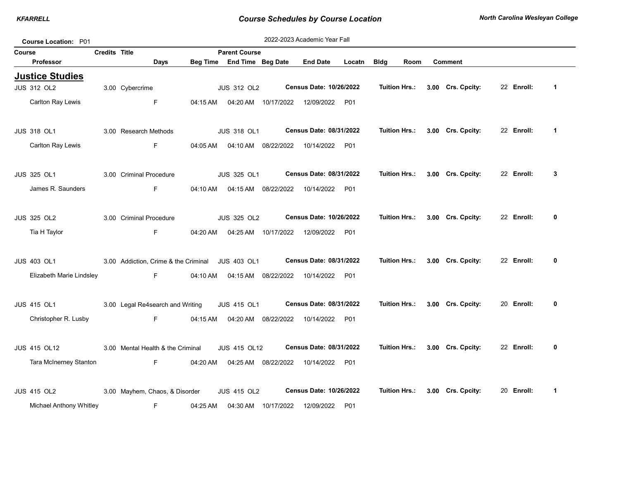| <b>Course Location: P01</b> |                      |                                                  |          |                                                    |                      | 2022-2023 Academic Year Fall |        |                      |      |                                 |            |             |
|-----------------------------|----------------------|--------------------------------------------------|----------|----------------------------------------------------|----------------------|------------------------------|--------|----------------------|------|---------------------------------|------------|-------------|
| Course<br><b>Professor</b>  | <b>Credits Title</b> | Days                                             |          | <b>Parent Course</b><br>Beg Time End Time Beg Date |                      | <b>End Date</b>              | Locatn | <b>Bldg</b>          | Room | <b>Comment</b>                  |            |             |
| <b>Justice Studies</b>      |                      |                                                  |          |                                                    |                      |                              |        |                      |      |                                 |            |             |
| <b>JUS 312 OL2</b>          |                      | 3.00 Cybercrime                                  |          | <b>JUS 312 OL2</b>                                 |                      | Census Date: 10/26/2022      |        | <b>Tuition Hrs.:</b> |      | 3.00 Crs. Cpcity:               | 22 Enroll: | $\mathbf 1$ |
| Carlton Ray Lewis           |                      | F.                                               | 04:15 AM |                                                    | 04:20 AM 10/17/2022  | 12/09/2022                   | P01    |                      |      |                                 |            |             |
| <b>JUS 318 OL1</b>          |                      | 3.00 Research Methods                            |          | <b>JUS 318 OL1</b>                                 |                      | Census Date: 08/31/2022      |        | Tuition Hrs.:        |      | 3.00 Crs. Cpcity:               | 22 Enroll: | 1           |
| Carlton Ray Lewis           |                      | F.                                               | 04:05 AM |                                                    | 04:10 AM  08/22/2022 | 10/14/2022                   | P01    |                      |      |                                 |            |             |
| <b>JUS 325 OL1</b>          |                      | 3.00 Criminal Procedure                          |          | JUS 325 OL1                                        |                      | Census Date: 08/31/2022      |        |                      |      | Tuition Hrs.: 3.00 Crs. Cpcity: | 22 Enroll: | 3           |
| James R. Saunders           |                      | F.                                               |          | 04:10 AM  04:15 AM  08/22/2022                     |                      | 10/14/2022                   | P01    |                      |      |                                 |            |             |
| <b>JUS 325 OL2</b>          |                      | 3.00 Criminal Procedure                          |          | <b>JUS 325 OL2</b>                                 |                      | Census Date: 10/26/2022      |        | <b>Tuition Hrs.:</b> |      | 3.00 Crs. Cpcity:               | 22 Enroll: | 0           |
| Tia H Taylor                |                      | F.                                               | 04:20 AM |                                                    | 04:25 AM 10/17/2022  | 12/09/2022                   | P01    |                      |      |                                 |            |             |
| <b>JUS 403 OL1</b>          |                      | 3.00 Addiction, Crime & the Criminal JUS 403 OL1 |          |                                                    |                      | Census Date: 08/31/2022      |        | <b>Tuition Hrs.:</b> |      | 3.00 Crs. Cpcity:               | 22 Enroll: | 0           |
| Elizabeth Marie Lindsley    |                      | F.                                               | 04:10 AM | 04:15 AM                                           | 08/22/2022           | 10/14/2022                   | P01    |                      |      |                                 |            |             |
| <b>JUS 415 OL1</b>          |                      | 3.00 Legal Re4search and Writing                 |          | <b>JUS 415 OL1</b>                                 |                      | Census Date: 08/31/2022      |        | <b>Tuition Hrs.:</b> |      | 3.00 Crs. Cpcity:               | 20 Enroll: | 0           |
| Christopher R. Lusby        |                      | F                                                |          | 04:15 AM  04:20 AM  08/22/2022                     |                      | 10/14/2022                   | P01    |                      |      |                                 |            |             |
| <b>JUS 415 OL12</b>         |                      | 3.00 Mental Health & the Criminal                |          | <b>JUS 415 OL12</b>                                |                      | Census Date: 08/31/2022      |        | <b>Tuition Hrs.:</b> |      | 3.00 Crs. Cpcity:               | 22 Enroll: | 0           |
| Tara McInerney Stanton      |                      | F.                                               | 04:20 AM |                                                    | 04:25 AM 08/22/2022  | 10/14/2022                   | P01    |                      |      |                                 |            |             |
| <b>JUS 415 OL2</b>          |                      | 3.00 Mayhem, Chaos, & Disorder                   |          | <b>JUS 415 OL2</b>                                 |                      | Census Date: 10/26/2022      |        | Tuition Hrs.:        |      | 3.00 Crs. Cpcity:               | 20 Enroll: | 1           |
| Michael Anthony Whitley     |                      | F.                                               | 04:25 AM | 04:30 AM                                           | 10/17/2022           | 12/09/2022                   | P01    |                      |      |                                 |            |             |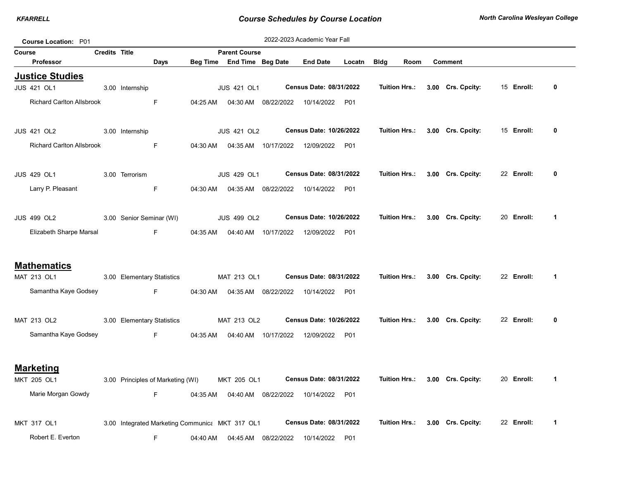| Course Location: P01             |                      |                            |                                   |          |                                                 |                      | 2022-2023 Academic Year Fall     |        |             |                      |                   |            |   |
|----------------------------------|----------------------|----------------------------|-----------------------------------|----------|-------------------------------------------------|----------------------|----------------------------------|--------|-------------|----------------------|-------------------|------------|---|
| Course                           | <b>Credits Title</b> |                            |                                   |          | <b>Parent Course</b>                            |                      |                                  |        |             |                      |                   |            |   |
| Professor                        |                      |                            | Days                              |          | Beg Time End Time Beg Date                      |                      | <b>End Date</b>                  | Locatn | <b>Bldg</b> | Room                 | <b>Comment</b>    |            |   |
| <b>Justice Studies</b>           |                      |                            |                                   |          |                                                 |                      |                                  |        |             |                      |                   |            |   |
| <b>JUS 421 OL1</b>               |                      | 3.00 Internship            |                                   |          | <b>JUS 421 OL1</b>                              |                      | Census Date: 08/31/2022          |        |             | Tuition Hrs.:        | 3.00 Crs. Cpcity: | 15 Enroll: | 0 |
| <b>Richard Carlton Allsbrook</b> |                      |                            | F                                 | 04:25 AM |                                                 | 04:30 AM  08/22/2022 | 10/14/2022 P01                   |        |             |                      |                   |            |   |
| <b>JUS 421 OL2</b>               |                      | 3.00 Internship            |                                   |          | <b>JUS 421 OL2</b>                              |                      | Census Date: 10/26/2022          |        |             | Tuition Hrs.:        | 3.00 Crs. Cpcity: | 15 Enroll: | 0 |
| <b>Richard Carlton Allsbrook</b> |                      |                            | F                                 | 04:30 AM |                                                 | 04:35 AM 10/17/2022  | 12/09/2022 P01                   |        |             |                      |                   |            |   |
| <b>JUS 429 OL1</b>               |                      | 3.00 Terrorism             |                                   |          | <b>JUS 429 OL1</b>                              |                      | Census Date: 08/31/2022          |        |             | Tuition Hrs.:        | 3.00 Crs. Cpcity: | 22 Enroll: | 0 |
| Larry P. Pleasant                |                      |                            | F                                 | 04:30 AM |                                                 | 04:35 AM 08/22/2022  | 10/14/2022                       | P01    |             |                      |                   |            |   |
| <b>JUS 499 OL2</b>               |                      | 3.00 Senior Seminar (WI)   |                                   |          | <b>JUS 499 OL2</b>                              |                      | Census Date: 10/26/2022          |        |             | Tuition Hrs.:        | 3.00 Crs. Cpcity: | 20 Enroll: | 1 |
| Elizabeth Sharpe Marsal          |                      |                            | F.                                | 04:35 AM |                                                 |                      | 04:40 AM  10/17/2022  12/09/2022 | P01    |             |                      |                   |            |   |
| <b>Mathematics</b>               |                      |                            |                                   |          |                                                 |                      |                                  |        |             |                      |                   |            |   |
| MAT 213 OL1                      |                      | 3.00 Elementary Statistics |                                   |          | MAT 213 OL1                                     |                      | Census Date: 08/31/2022          |        |             | <b>Tuition Hrs.:</b> | 3.00 Crs. Cpcity: | 22 Enroll: | 1 |
| Samantha Kaye Godsey             |                      |                            | F                                 | 04:30 AM |                                                 | 04:35 AM 08/22/2022  | 10/14/2022                       | P01    |             |                      |                   |            |   |
| MAT 213 OL2                      |                      | 3.00 Elementary Statistics |                                   |          | MAT 213 OL2                                     |                      | Census Date: 10/26/2022          |        |             | Tuition Hrs.:        | 3.00 Crs. Cpcity: | 22 Enroll: | 0 |
| Samantha Kaye Godsey             |                      |                            | F.                                | 04:35 AM |                                                 | 04:40 AM  10/17/2022 | 12/09/2022 P01                   |        |             |                      |                   |            |   |
|                                  |                      |                            |                                   |          |                                                 |                      |                                  |        |             |                      |                   |            |   |
| <b>Marketing</b><br>MKT 205 OL1  |                      |                            | 3.00 Principles of Marketing (WI) |          | MKT 205 OL1                                     |                      | Census Date: 08/31/2022          |        |             | Tuition Hrs.:        | 3.00 Crs. Cpcity: | 20 Enroll: | 1 |
| Marie Morgan Gowdy               |                      |                            | F.                                | 04:35 AM |                                                 | 04:40 AM 08/22/2022  | 10/14/2022                       | P01    |             |                      |                   |            |   |
| <b>MKT 317 OL1</b>               |                      |                            |                                   |          | 3.00 Integrated Marketing Communica MKT 317 OL1 |                      | Census Date: 08/31/2022          |        |             | Tuition Hrs.:        | 3.00 Crs. Cpcity: | 22 Enroll: | 1 |
| Robert E. Everton                |                      |                            | F                                 | 04:40 AM |                                                 | 04:45 AM 08/22/2022  | 10/14/2022                       | P01    |             |                      |                   |            |   |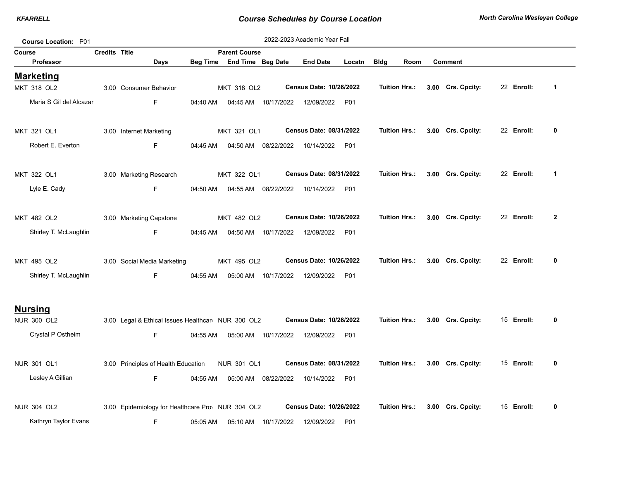| 2022-2023 Academic Year Fall<br><b>Course Location: P01</b> |                      |                                                    |                 |                          |                     |                                |            |                      |  |                   |  |            |              |
|-------------------------------------------------------------|----------------------|----------------------------------------------------|-----------------|--------------------------|---------------------|--------------------------------|------------|----------------------|--|-------------------|--|------------|--------------|
| Course                                                      | <b>Credits Title</b> |                                                    |                 | <b>Parent Course</b>     |                     |                                |            |                      |  |                   |  |            |              |
| <b>Professor</b>                                            |                      | Days                                               | <b>Beg Time</b> | <b>End Time Beg Date</b> |                     | <b>End Date</b>                | Locatn     | <b>Bldg</b><br>Room  |  | <b>Comment</b>    |  |            |              |
| <b>Marketing</b>                                            |                      |                                                    |                 |                          |                     |                                |            |                      |  |                   |  |            |              |
| <b>MKT 318 OL2</b>                                          |                      | 3.00 Consumer Behavior                             |                 | MKT 318 OL2              |                     | Census Date: 10/26/2022        |            | <b>Tuition Hrs.:</b> |  | 3.00 Crs. Cpcity: |  | 22 Enroll: | $\mathbf{1}$ |
| Maria S Gil del Alcazar                                     |                      | F.                                                 | 04:40 AM        |                          | 04:45 AM 10/17/2022 | 12/09/2022 P01                 |            |                      |  |                   |  |            |              |
| MKT 321 OL1                                                 |                      | 3.00 Internet Marketing                            |                 | MKT 321 OL1              |                     | Census Date: 08/31/2022        |            | <b>Tuition Hrs.:</b> |  | 3.00 Crs. Cpcity: |  | 22 Enroll: | 0            |
| Robert E. Everton                                           |                      | F.                                                 | 04:45 AM        | 04:50 AM                 | 08/22/2022          | 10/14/2022 P01                 |            |                      |  |                   |  |            |              |
| MKT 322 OL1                                                 |                      | 3.00 Marketing Research                            |                 | MKT 322 OL1              |                     | Census Date: 08/31/2022        |            | <b>Tuition Hrs.:</b> |  | 3.00 Crs. Cpcity: |  | 22 Enroll: | $\mathbf 1$  |
| Lyle E. Cady                                                |                      | F.                                                 | 04:50 AM        | 04:55 AM                 | 08/22/2022          | 10/14/2022 P01                 |            |                      |  |                   |  |            |              |
| MKT 482 OL2                                                 |                      | 3.00 Marketing Capstone                            |                 | MKT 482 OL2              |                     | <b>Census Date: 10/26/2022</b> |            | <b>Tuition Hrs.:</b> |  | 3.00 Crs. Cpcity: |  | 22 Enroll: | $\mathbf{2}$ |
| Shirley T. McLaughlin                                       |                      | F.                                                 | 04:45 AM        |                          | 04:50 AM 10/17/2022 | 12/09/2022                     | P01        |                      |  |                   |  |            |              |
| MKT 495 OL2                                                 |                      | 3.00 Social Media Marketing                        |                 | MKT 495 OL2              |                     | Census Date: 10/26/2022        |            | <b>Tuition Hrs.:</b> |  | 3.00 Crs. Cpcity: |  | 22 Enroll: | 0            |
| Shirley T. McLaughlin                                       |                      | F.                                                 | 04:55 AM        |                          | 05:00 AM 10/17/2022 | 12/09/2022                     | <b>P01</b> |                      |  |                   |  |            |              |
| <u>Nursing</u>                                              |                      |                                                    |                 |                          |                     |                                |            |                      |  |                   |  |            |              |
| <b>NUR 300 OL2</b>                                          |                      | 3.00 Legal & Ethical Issues Healthcare NUR 300 OL2 |                 |                          |                     | <b>Census Date: 10/26/2022</b> |            | <b>Tuition Hrs.:</b> |  | 3.00 Crs. Cpcity: |  | 15 Enroll: | 0            |
| Crystal P Ostheim                                           |                      | F.                                                 | 04:55 AM        |                          | 05:00 AM 10/17/2022 | 12/09/2022 P01                 |            |                      |  |                   |  |            |              |
| NUR 301 OL1                                                 |                      | 3.00 Principles of Health Education                |                 | <b>NUR 301 OL1</b>       |                     | Census Date: 08/31/2022        |            | <b>Tuition Hrs.:</b> |  | 3.00 Crs. Cpcity: |  | 15 Enroll: | 0            |
| Lesley A Gillian                                            |                      | F.                                                 | 04:55 AM        |                          | 05:00 AM 08/22/2022 | 10/14/2022 P01                 |            |                      |  |                   |  |            |              |
| NUR 304 OL2                                                 |                      | 3.00 Epidemiology for Healthcare Prov NUR 304 OL2  |                 |                          |                     | <b>Census Date: 10/26/2022</b> |            | <b>Tuition Hrs.:</b> |  | 3.00 Crs. Cpcity: |  | 15 Enroll: | 0            |
| Kathryn Taylor Evans                                        |                      | F.                                                 | 05:05 AM        |                          | 05:10 AM 10/17/2022 | 12/09/2022 P01                 |            |                      |  |                   |  |            |              |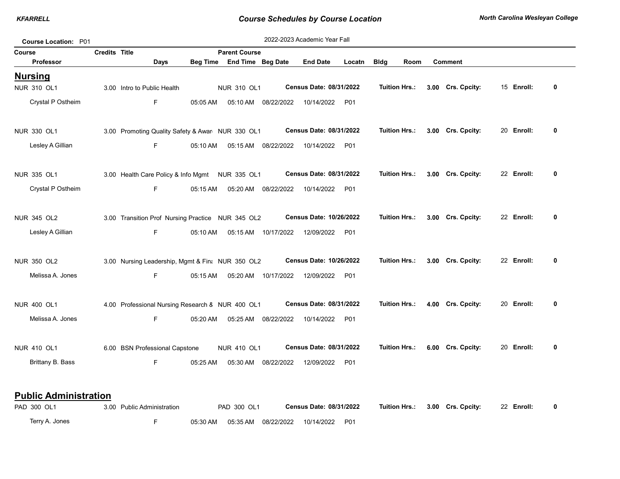| Course Location: P01 |                      |                                                    |                 |                                                  |            | 2022-2023 Academic Year Fall   |        |                      |      |                   |            |   |
|----------------------|----------------------|----------------------------------------------------|-----------------|--------------------------------------------------|------------|--------------------------------|--------|----------------------|------|-------------------|------------|---|
| Course<br>Professor  | <b>Credits Title</b> | Days                                               | <b>Beg Time</b> | <b>Parent Course</b><br><b>End Time Beg Date</b> |            | <b>End Date</b>                | Locatn | <b>Bldg</b>          | Room | <b>Comment</b>    |            |   |
| <u>Nursing</u>       |                      |                                                    |                 |                                                  |            |                                |        |                      |      |                   |            |   |
| <b>NUR 310 OL1</b>   |                      | 3.00 Intro to Public Health                        |                 | <b>NUR 310 OL1</b>                               |            | Census Date: 08/31/2022        |        | <b>Tuition Hrs.:</b> |      | 3.00 Crs. Cpcity: | 15 Enroll: | 0 |
| Crystal P Ostheim    |                      | F.                                                 | 05:05 AM        | 05:10 AM                                         | 08/22/2022 | 10/14/2022                     | P01    |                      |      |                   |            |   |
| <b>NUR 330 OL1</b>   |                      | 3.00 Promoting Quality Safety & Awar NUR 330 OL1   |                 |                                                  |            | Census Date: 08/31/2022        |        | <b>Tuition Hrs.:</b> |      | 3.00 Crs. Cpcity: | 20 Enroll: | 0 |
| Lesley A Gillian     |                      | F.                                                 | 05:10 AM        | 05:15 AM 08/22/2022                              |            | 10/14/2022                     | P01    |                      |      |                   |            |   |
| NUR 335 OL1          |                      | 3.00 Health Care Policy & Info Mgmt    NUR 335 OL1 |                 |                                                  |            | Census Date: 08/31/2022        |        | <b>Tuition Hrs.:</b> |      | 3.00 Crs. Cpcity: | 22 Enroll: | 0 |
| Crystal P Ostheim    |                      | F.                                                 | 05:15 AM        | 05:20 AM 08/22/2022                              |            | 10/14/2022                     | P01    |                      |      |                   |            |   |
| <b>NUR 345 OL2</b>   |                      | 3.00 Transition Prof Nursing Practice NUR 345 OL2  |                 |                                                  |            | Census Date: 10/26/2022        |        | <b>Tuition Hrs.:</b> |      | 3.00 Crs. Cpcity: | 22 Enroll: | 0 |
| Lesley A Gillian     |                      | F.                                                 | 05:10 AM        | 05:15 AM 10/17/2022                              |            | 12/09/2022                     | P01    |                      |      |                   |            |   |
| <b>NUR 350 OL2</b>   |                      | 3.00 Nursing Leadership, Mgmt & Fina NUR 350 OL2   |                 |                                                  |            | <b>Census Date: 10/26/2022</b> |        | <b>Tuition Hrs.:</b> |      | 3.00 Crs. Cpcity: | 22 Enroll: | 0 |
| Melissa A. Jones     |                      | F.                                                 | 05:15 AM        | 05:20 AM 10/17/2022                              |            | 12/09/2022                     | P01    |                      |      |                   |            |   |
| <b>NUR 400 OL1</b>   |                      | 4.00 Professional Nursing Research & NUR 400 OL1   |                 |                                                  |            | Census Date: 08/31/2022        |        | <b>Tuition Hrs.:</b> |      | 4.00 Crs. Cpcity: | 20 Enroll: | 0 |
| Melissa A. Jones     |                      | F.                                                 | 05:20 AM        | 05:25 AM 08/22/2022                              |            | 10/14/2022                     | P01    |                      |      |                   |            |   |
| <b>NUR 410 OL1</b>   |                      | 6.00 BSN Professional Capstone                     |                 | <b>NUR 410 OL1</b>                               |            | Census Date: 08/31/2022        |        | <b>Tuition Hrs.:</b> |      | 6.00 Crs. Cpcity: | 20 Enroll: | 0 |
| Brittany B. Bass     |                      | F.                                                 | 05:25 AM        | 05:30 AM 08/22/2022                              |            | 12/09/2022                     | P01    |                      |      |                   |            |   |
|                      |                      |                                                    |                 |                                                  |            |                                |        |                      |      |                   |            |   |

## Public Administration

Terry A. Jones F 05:30 AM 05:35 AM 08/22/2022 10/14/2022 P01 PAD 300 OL1 3.00 Public Administration PAD 300 OL1 Census Date: 08/31/2022 Tuition Hrs.: 3.00 Crs. Cpcity: 22 Enroll: 0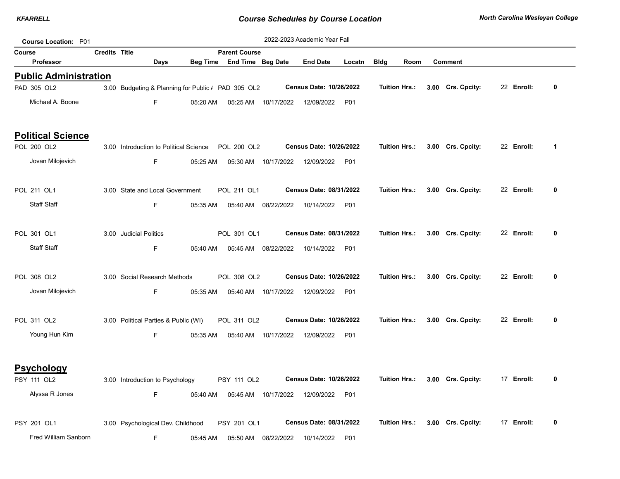| <b>Course Location: P01</b>  |                      |                                                    |                 |                      |                     | 2022-2023 Academic Year Fall   |            |                      |      |                   |            |              |
|------------------------------|----------------------|----------------------------------------------------|-----------------|----------------------|---------------------|--------------------------------|------------|----------------------|------|-------------------|------------|--------------|
| Course                       | <b>Credits Title</b> |                                                    |                 | <b>Parent Course</b> |                     |                                |            |                      |      |                   |            |              |
| Professor                    |                      | Days                                               | <b>Beg Time</b> | End Time Beg Date    |                     | <b>End Date</b>                | Locatn     | <b>Bldg</b>          | Room | <b>Comment</b>    |            |              |
| <b>Public Administration</b> |                      |                                                    |                 |                      |                     |                                |            |                      |      |                   |            |              |
| PAD 305 OL2                  |                      | 3.00 Budgeting & Planning for Public / PAD 305 OL2 |                 |                      |                     | <b>Census Date: 10/26/2022</b> |            | <b>Tuition Hrs.:</b> |      | 3.00 Crs. Cpcity: | 22 Enroll: | 0            |
| Michael A. Boone             |                      | F.                                                 | 05:20 AM        | 05:25 AM             | 10/17/2022          | 12/09/2022                     | <b>P01</b> |                      |      |                   |            |              |
| <b>Political Science</b>     |                      |                                                    |                 |                      |                     |                                |            |                      |      |                   |            |              |
| POL 200 OL2                  |                      | 3.00 Introduction to Political Science             |                 | POL 200 OL2          |                     | Census Date: 10/26/2022        |            | <b>Tuition Hrs.:</b> |      | 3.00 Crs. Cpcity: | 22 Enroll: | $\mathbf 1$  |
| Jovan Milojevich             |                      | F.                                                 | 05:25 AM        | 05:30 AM             | 10/17/2022          | 12/09/2022                     | <b>P01</b> |                      |      |                   |            |              |
| POL 211 OL1                  |                      | 3.00 State and Local Government                    |                 | POL 211 OL1          |                     | Census Date: 08/31/2022        |            | <b>Tuition Hrs.:</b> |      | 3.00 Crs. Cpcity: | 22 Enroll: | 0            |
| <b>Staff Staff</b>           |                      | F                                                  | 05:35 AM        | 05:40 AM             | 08/22/2022          | 10/14/2022                     | <b>P01</b> |                      |      |                   |            |              |
| POL 301 OL1                  |                      | 3.00 Judicial Politics                             |                 | POL 301 OL1          |                     | Census Date: 08/31/2022        |            | <b>Tuition Hrs.:</b> |      | 3.00 Crs. Cpcity: | 22 Enroll: | 0            |
| <b>Staff Staff</b>           |                      | F.                                                 | 05:40 AM        |                      | 05:45 AM 08/22/2022 | 10/14/2022                     | P01        |                      |      |                   |            |              |
| POL 308 OL2                  |                      | 3.00 Social Research Methods                       |                 | POL 308 OL2          |                     | Census Date: 10/26/2022        |            | <b>Tuition Hrs.:</b> |      | 3.00 Crs. Cpcity: | 22 Enroll: | $\mathbf{0}$ |
| Jovan Milojevich             |                      | F.                                                 | 05:35 AM        |                      | 05:40 AM 10/17/2022 | 12/09/2022                     | <b>P01</b> |                      |      |                   |            |              |
| POL 311 OL2                  |                      | 3.00 Political Parties & Public (WI)               |                 | POL 311 OL2          |                     | Census Date: 10/26/2022        |            | <b>Tuition Hrs.:</b> |      | 3.00 Crs. Cpcity: | 22 Enroll: | 0            |
| Young Hun Kim                |                      | F.                                                 | 05:35 AM        |                      | 05:40 AM 10/17/2022 | 12/09/2022                     | <b>P01</b> |                      |      |                   |            |              |
| <b>Psychology</b>            |                      |                                                    |                 |                      |                     |                                |            |                      |      |                   |            |              |
| PSY 111 OL2                  |                      | 3.00 Introduction to Psychology                    |                 | PSY 111 OL2          |                     | Census Date: 10/26/2022        |            | <b>Tuition Hrs.:</b> |      | 3.00 Crs. Cpcity: | 17 Enroll: | 0            |
| Alyssa R Jones               |                      | F.                                                 | 05:40 AM        |                      | 05:45 AM 10/17/2022 | 12/09/2022                     | <b>P01</b> |                      |      |                   |            |              |
| PSY 201 OL1                  |                      | 3.00 Psychological Dev. Childhood                  |                 | PSY 201 OL1          |                     | Census Date: 08/31/2022        |            | <b>Tuition Hrs.:</b> |      | 3.00 Crs. Cpcity: | 17 Enroll: | 0            |
| Fred William Sanborn         |                      | F.                                                 | 05:45 AM        | 05:50 AM             | 08/22/2022          | 10/14/2022                     | <b>P01</b> |                      |      |                   |            |              |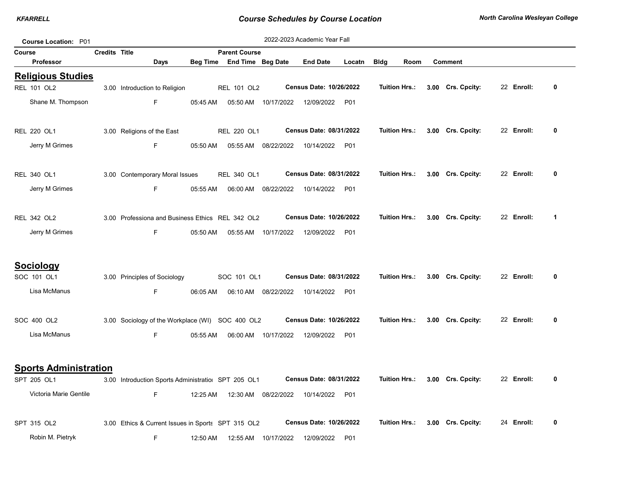| Course Location: P01         |                      |                                                     |          |                            |                     | 2022-2023 Academic Year Fall   |            |                      |      |                   |            |              |
|------------------------------|----------------------|-----------------------------------------------------|----------|----------------------------|---------------------|--------------------------------|------------|----------------------|------|-------------------|------------|--------------|
| <b>Course</b>                | <b>Credits Title</b> |                                                     |          | <b>Parent Course</b>       |                     |                                |            |                      |      |                   |            |              |
| <b>Professor</b>             |                      | Days                                                |          | Beg Time End Time Beg Date |                     | <b>End Date</b>                | Locatn     | <b>Bldg</b>          | Room | <b>Comment</b>    |            |              |
| <b>Religious Studies</b>     |                      |                                                     |          |                            |                     |                                |            |                      |      |                   |            |              |
| <b>REL 101 OL2</b>           |                      | 3.00 Introduction to Religion                       |          | REL 101 OL2                |                     | Census Date: 10/26/2022        |            | <b>Tuition Hrs.:</b> |      | 3.00 Crs. Cpcity: | 22 Enroll: | 0            |
| Shane M. Thompson            |                      | F.                                                  | 05:45 AM |                            | 05:50 AM 10/17/2022 | 12/09/2022                     | P01        |                      |      |                   |            |              |
| REL 220 OL1                  |                      | 3.00 Religions of the East                          |          | REL 220 OL1                |                     | Census Date: 08/31/2022        |            | Tuition Hrs.:        |      | 3.00 Crs. Cpcity: | 22 Enroll: | 0            |
| Jerry M Grimes               |                      | F                                                   | 05:50 AM | 05:55 AM                   | 08/22/2022          | 10/14/2022                     | <b>P01</b> |                      |      |                   |            |              |
| <b>REL 340 OL1</b>           |                      | 3.00 Contemporary Moral Issues                      |          | REL 340 OL1                |                     | Census Date: 08/31/2022        |            | Tuition Hrs.:        |      | 3.00 Crs. Cpcity: | 22 Enroll: | 0            |
| Jerry M Grimes               |                      | F                                                   | 05:55 AM | 06:00 AM                   | 08/22/2022          | 10/14/2022                     | <b>P01</b> |                      |      |                   |            |              |
| REL 342 OL2                  |                      | 3.00 Professiona and Business Ethics REL 342 OL2    |          |                            |                     | Census Date: 10/26/2022        |            | <b>Tuition Hrs.:</b> |      | 3.00 Crs. Cpcity: | 22 Enroll: | 1            |
| Jerry M Grimes               |                      | F                                                   | 05:50 AM | 05:55 AM                   | 10/17/2022          | 12/09/2022                     | P01        |                      |      |                   |            |              |
| <u>Sociology</u>             |                      |                                                     |          |                            |                     |                                |            |                      |      |                   |            |              |
| SOC 101 OL1                  |                      | 3.00 Principles of Sociology                        |          | SOC 101 OL1                |                     | Census Date: 08/31/2022        |            | <b>Tuition Hrs.:</b> |      | 3.00 Crs. Cpcity: | 22 Enroll: | 0            |
| Lisa McManus                 |                      | F                                                   | 06:05 AM |                            | 06:10 AM 08/22/2022 | 10/14/2022                     | <b>P01</b> |                      |      |                   |            |              |
| SOC 400 OL2                  |                      | 3.00 Sociology of the Workplace (WI) SOC 400 OL2    |          |                            |                     | Census Date: 10/26/2022        |            | <b>Tuition Hrs.:</b> |      | 3.00 Crs. Cpcity: | 22 Enroll: | $\mathbf{0}$ |
| Lisa McManus                 |                      | F.                                                  | 05:55 AM |                            | 06:00 AM 10/17/2022 | 12/09/2022                     | <b>P01</b> |                      |      |                   |            |              |
| <b>Sports Administration</b> |                      |                                                     |          |                            |                     |                                |            |                      |      |                   |            |              |
| SPT 205 OL1                  |                      | 3.00 Introduction Sports Administratiol SPT 205 OL1 |          |                            |                     | Census Date: 08/31/2022        |            | Tuition Hrs.:        |      | 3.00 Crs. Cpcity: | 22 Enroll: | 0            |
| Victoria Marie Gentile       |                      | F.                                                  | 12:25 AM | 12:30 AM                   | 08/22/2022          | 10/14/2022                     | <b>P01</b> |                      |      |                   |            |              |
| SPT 315 OL2                  |                      | 3.00 Ethics & Current Issues in Sports SPT 315 OL2  |          |                            |                     | <b>Census Date: 10/26/2022</b> |            | Tuition Hrs.:        |      | 3.00 Crs. Cpcity: | 24 Enroll: | 0            |
| Robin M. Pietryk             |                      | F                                                   | 12:50 AM | 12:55 AM                   | 10/17/2022          | 12/09/2022                     | <b>P01</b> |                      |      |                   |            |              |